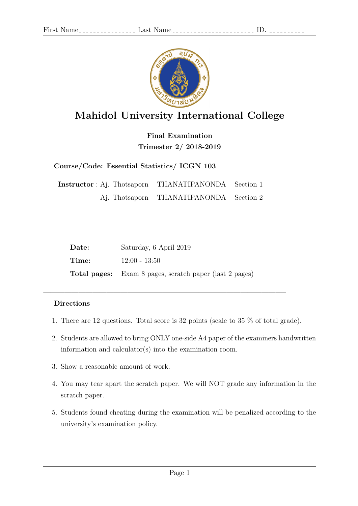

## Mahidol University International College

Final Examination Trimester 2/ 2018-2019

Course/Code: Essential Statistics/ ICGN 103

Instructor : Aj. Thotsaporn THANATIPANONDA Section 1 Aj. Thotsaporn THANATIPANONDA Section 2

| Date: | Saturday, 6 April 2019                                         |
|-------|----------------------------------------------------------------|
| Time: | $12:00 - 13:50$                                                |
|       | <b>Total pages:</b> Exam 8 pages, scratch paper (last 2 pages) |

 $\overline{\phantom{a}}$  , and the contract of the contract of the contract of  $\overline{\phantom{a}}$ 

## Directions

- 1. There are 12 questions. Total score is 32 points (scale to 35 % of total grade).
- 2. Students are allowed to bring ONLY one-side A4 paper of the examiners handwritten information and calculator(s) into the examination room.
- 3. Show a reasonable amount of work.
- 4. You may tear apart the scratch paper. We will NOT grade any information in the scratch paper.
- 5. Students found cheating during the examination will be penalized according to the university's examination policy.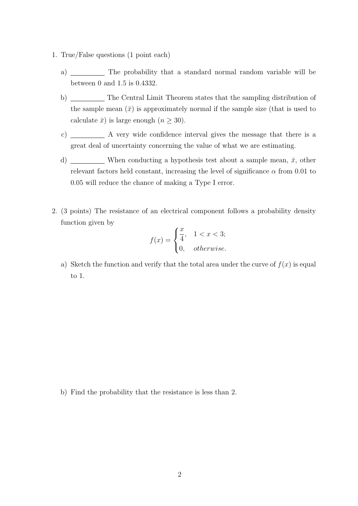- 1. True/False questions (1 point each)
	- a) \_\_\_\_\_\_\_\_\_\_\_\_\_ The probability that a standard normal random variable will be between 0 and 1.5 is 0.4332.
	- b) \_\_\_\_\_\_\_\_\_ The Central Limit Theorem states that the sampling distribution of the sample mean  $(\bar{x})$  is approximately normal if the sample size (that is used to calculate  $\bar{x}$ ) is large enough  $(n \geq 30)$ .
	- c) A very wide confidence interval gives the message that there is a great deal of uncertainty concerning the value of what we are estimating.
	- d) When conducting a hypothesis test about a sample mean,  $\bar{x}$ , other relevant factors held constant, increasing the level of significance  $\alpha$  from 0.01 to 0.05 will reduce the chance of making a Type I error.
- 2. (3 points) The resistance of an electrical component follows a probability density function given by

$$
f(x) = \begin{cases} \frac{x}{4}, & 1 < x < 3; \\ 0, & otherwise. \end{cases}
$$

a) Sketch the function and verify that the total area under the curve of  $f(x)$  is equal to 1.

b) Find the probability that the resistance is less than 2.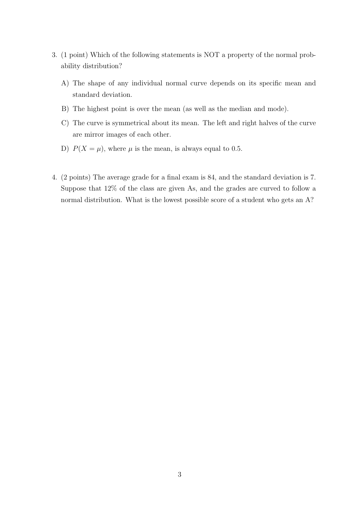- 3. (1 point) Which of the following statements is NOT a property of the normal probability distribution?
	- A) The shape of any individual normal curve depends on its specific mean and standard deviation.
	- B) The highest point is over the mean (as well as the median and mode).
	- C) The curve is symmetrical about its mean. The left and right halves of the curve are mirror images of each other.
	- D)  $P(X = \mu)$ , where  $\mu$  is the mean, is always equal to 0.5.
- 4. (2 points) The average grade for a final exam is 84, and the standard deviation is 7. Suppose that 12% of the class are given As, and the grades are curved to follow a normal distribution. What is the lowest possible score of a student who gets an A?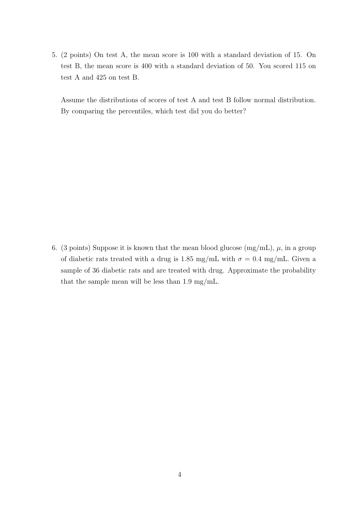5. (2 points) On test A, the mean score is 100 with a standard deviation of 15. On test B, the mean score is 400 with a standard deviation of 50. You scored 115 on test A and 425 on test B.

Assume the distributions of scores of test A and test B follow normal distribution. By comparing the percentiles, which test did you do better?

6. (3 points) Suppose it is known that the mean blood glucose  $(mg/mL)$ ,  $\mu$ , in a group of diabetic rats treated with a drug is 1.85 mg/mL with  $\sigma = 0.4$  mg/mL. Given a sample of 36 diabetic rats and are treated with drug. Approximate the probability that the sample mean will be less than 1.9 mg/mL.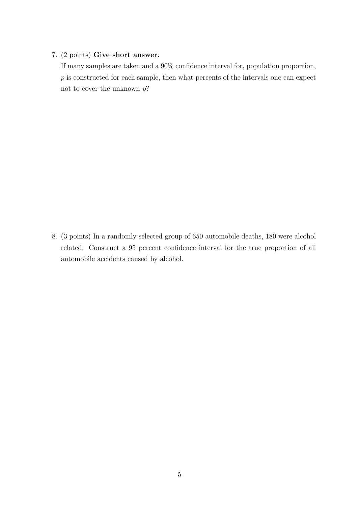## 7. (2 points) Give short answer.

If many samples are taken and a 90% confidence interval for, population proportion,  $p$  is constructed for each sample, then what percents of the intervals one can expect not to cover the unknown  $p$ ?

8. (3 points) In a randomly selected group of 650 automobile deaths, 180 were alcohol related. Construct a 95 percent confidence interval for the true proportion of all automobile accidents caused by alcohol.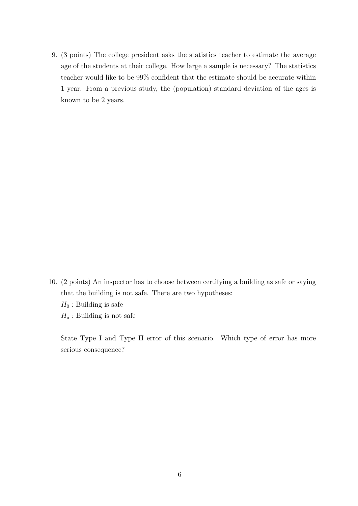9. (3 points) The college president asks the statistics teacher to estimate the average age of the students at their college. How large a sample is necessary? The statistics teacher would like to be 99% confident that the estimate should be accurate within 1 year. From a previous study, the (population) standard deviation of the ages is known to be 2 years.

10. (2 points) An inspector has to choose between certifying a building as safe or saying that the building is not safe. There are two hypotheses:  $H_0$ : Building is safe  $H_a$ : Building is not safe

State Type I and Type II error of this scenario. Which type of error has more serious consequence?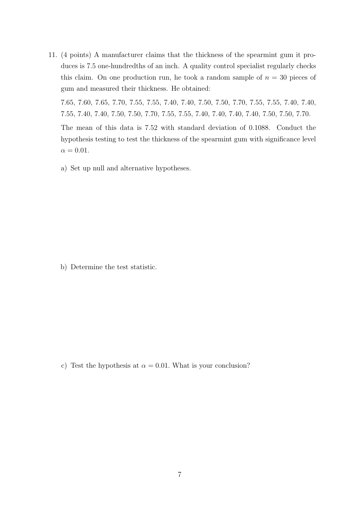11. (4 points) A manufacturer claims that the thickness of the spearmint gum it produces is 7.5 one-hundredths of an inch. A quality control specialist regularly checks this claim. On one production run, he took a random sample of  $n = 30$  pieces of gum and measured their thickness. He obtained:

7.65, 7.60, 7.65, 7.70, 7.55, 7.55, 7.40, 7.40, 7.50, 7.50, 7.70, 7.55, 7.55, 7.40, 7.40, 7.55, 7.40, 7.40, 7.50, 7.50, 7.70, 7.55, 7.55, 7.40, 7.40, 7.40, 7.40, 7.50, 7.50, 7.70.

The mean of this data is 7.52 with standard deviation of 0.1088. Conduct the hypothesis testing to test the thickness of the spearmint gum with significance level  $\alpha = 0.01$ .

a) Set up null and alternative hypotheses.

b) Determine the test statistic.

c) Test the hypothesis at  $\alpha = 0.01$ . What is your conclusion?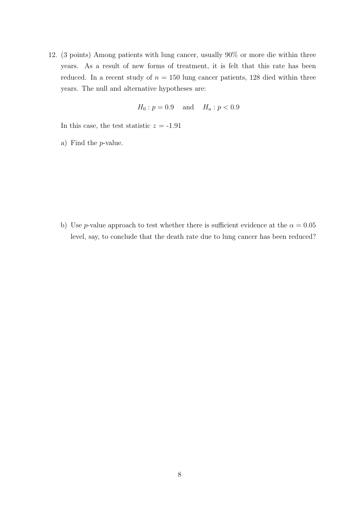12. (3 points) Among patients with lung cancer, usually 90% or more die within three years. As a result of new forms of treatment, it is felt that this rate has been reduced. In a recent study of  $n = 150$  lung cancer patients, 128 died within three years. The null and alternative hypotheses are:

$$
H_0: p = 0.9
$$
 and  $H_a: p < 0.9$ 

In this case, the test statistic  $z = -1.91$ 

a) Find the p-value.

b) Use p-value approach to test whether there is sufficient evidence at the  $\alpha = 0.05$ level, say, to conclude that the death rate due to lung cancer has been reduced?